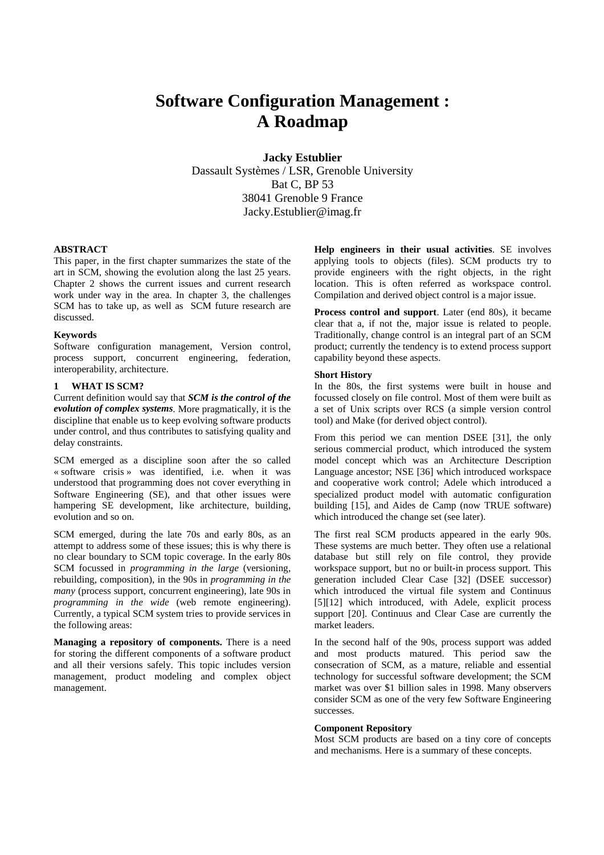# **Software Configuration Management : A Roadmap**

**Jacky Estublier**  Dassault Systèmes / LSR, Grenoble University Bat C, BP 53 38041 Grenoble 9 France Jacky.Estublier@imag.fr

# **ABSTRACT**

This paper, in the first chapter summarizes the state of the art in SCM, showing the evolution along the last 25 years. Chapter 2 shows the current issues and current research work under way in the area. In chapter 3, the challenges SCM has to take up, as well as SCM future research are discussed.

#### **Keywords**

Software configuration management, Version control, process support, concurrent engineering, federation, interoperability, architecture.

# **1 WHAT IS SCM?**

Current definition would say that *SCM is the control of the evolution of complex systems*. More pragmatically, it is the discipline that enable us to keep evolving software products under control, and thus contributes to satisfying quality and delay constraints.

SCM emerged as a discipline soon after the so called « software crisis » was identified, i.e. when it was understood that programming does not cover everything in Software Engineering (SE), and that other issues were hampering SE development, like architecture, building, evolution and so on.

SCM emerged, during the late 70s and early 80s, as an attempt to address some of these issues; this is why there is no clear boundary to SCM topic coverage. In the early 80s SCM focussed in *programming in the large* (versioning, rebuilding, composition), in the 90s in *programming in the many* (process support, concurrent engineering), late 90s in *programming in the wide* (web remote engineering). Currently, a typical SCM system tries to provide services in the following areas:

**Managing a repository of components.** There is a need for storing the different components of a software product and all their versions safely. This topic includes version management, product modeling and complex object management.

**Help engineers in their usual activities**. SE involves applying tools to objects (files). SCM products try to provide engineers with the right objects, in the right location. This is often referred as workspace control. Compilation and derived object control is a major issue.

**Process control and support**. Later (end 80s), it became clear that a, if not the, major issue is related to people. Traditionally, change control is an integral part of an SCM product; currently the tendency is to extend process support capability beyond these aspects.

#### **Short History**

In the 80s, the first systems were built in house and focussed closely on file control. Most of them were built as a set of Unix scripts over RCS (a simple version control tool) and Make (for derived object control).

From this period we can mention DSEE [31], the only serious commercial product, which introduced the system model concept which was an Architecture Description Language ancestor; NSE [36] which introduced workspace and cooperative work control; Adele which introduced a specialized product model with automatic configuration building [15], and Aides de Camp (now TRUE software) which introduced the change set (see later).

The first real SCM products appeared in the early 90s. These systems are much better. They often use a relational database but still rely on file control, they provide workspace support, but no or built-in process support. This generation included Clear Case [32] (DSEE successor) which introduced the virtual file system and Continuus [5][12] which introduced, with Adele, explicit process support [20]. Continuus and Clear Case are currently the market leaders.

In the second half of the 90s, process support was added and most products matured. This period saw the consecration of SCM, as a mature, reliable and essential technology for successful software development; the SCM market was over \$1 billion sales in 1998. Many observers consider SCM as one of the very few Software Engineering successes.

#### **Component Repository**

Most SCM products are based on a tiny core of concepts and mechanisms. Here is a summary of these concepts.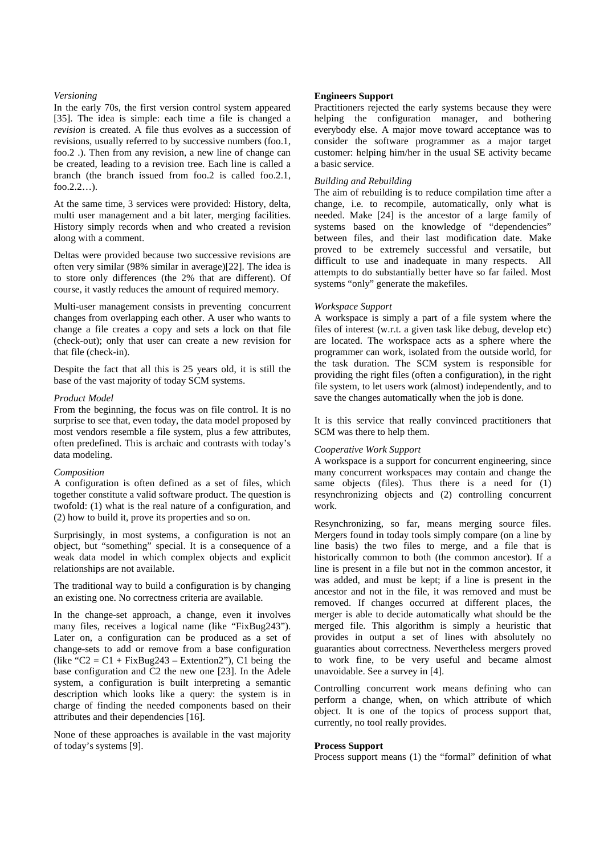#### *Versioning*

In the early 70s, the first version control system appeared [35]. The idea is simple: each time a file is changed a *revision* is created. A file thus evolves as a succession of revisions, usually referred to by successive numbers (foo.1, foo.2 .). Then from any revision, a new line of change can be created, leading to a revision tree. Each line is called a branch (the branch issued from foo.2 is called foo.2.1,  $f_{00.2.2...}$ .

At the same time, 3 services were provided: History, delta, multi user management and a bit later, merging facilities. History simply records when and who created a revision along with a comment.

Deltas were provided because two successive revisions are often very similar (98% similar in average)[22]. The idea is to store only differences (the 2% that are different). Of course, it vastly reduces the amount of required memory.

Multi-user management consists in preventing concurrent changes from overlapping each other. A user who wants to change a file creates a copy and sets a lock on that file (check-out); only that user can create a new revision for that file (check-in).

Despite the fact that all this is 25 years old, it is still the base of the vast majority of today SCM systems.

### *Product Model*

From the beginning, the focus was on file control. It is no surprise to see that, even today, the data model proposed by most vendors resemble a file system, plus a few attributes, often predefined. This is archaic and contrasts with today's data modeling.

#### *Composition*

A configuration is often defined as a set of files, which together constitute a valid software product. The question is twofold: (1) what is the real nature of a configuration, and (2) how to build it, prove its properties and so on.

Surprisingly, in most systems, a configuration is not an object, but "something" special. It is a consequence of a weak data model in which complex objects and explicit relationships are not available.

The traditional way to build a configuration is by changing an existing one. No correctness criteria are available.

In the change-set approach, a change, even it involves many files, receives a logical name (like "FixBug243"). Later on, a configuration can be produced as a set of change-sets to add or remove from a base configuration (like "C2 = C1 + FixBug243 – Extention2"), C1 being the base configuration and C2 the new one [23]. In the Adele system, a configuration is built interpreting a semantic description which looks like a query: the system is in charge of finding the needed components based on their attributes and their dependencies [16].

None of these approaches is available in the vast majority of today's systems [9].

# **Engineers Support**

Practitioners rejected the early systems because they were helping the configuration manager, and bothering everybody else. A major move toward acceptance was to consider the software programmer as a major target customer: helping him/her in the usual SE activity became a basic service.

# *Building and Rebuilding*

The aim of rebuilding is to reduce compilation time after a change, i.e. to recompile, automatically, only what is needed. Make [24] is the ancestor of a large family of systems based on the knowledge of "dependencies" between files, and their last modification date. Make proved to be extremely successful and versatile, but difficult to use and inadequate in many respects. All attempts to do substantially better have so far failed. Most systems "only" generate the makefiles.

### *Workspace Support*

A workspace is simply a part of a file system where the files of interest (w.r.t. a given task like debug, develop etc) are located. The workspace acts as a sphere where the programmer can work, isolated from the outside world, for the task duration. The SCM system is responsible for providing the right files (often a configuration), in the right file system, to let users work (almost) independently, and to save the changes automatically when the job is done.

It is this service that really convinced practitioners that SCM was there to help them.

#### *Cooperative Work Support*

A workspace is a support for concurrent engineering, since many concurrent workspaces may contain and change the same objects (files). Thus there is a need for  $(1)$ resynchronizing objects and (2) controlling concurrent work.

Resynchronizing, so far, means merging source files. Mergers found in today tools simply compare (on a line by line basis) the two files to merge, and a file that is historically common to both (the common ancestor). If a line is present in a file but not in the common ancestor, it was added, and must be kept; if a line is present in the ancestor and not in the file, it was removed and must be removed. If changes occurred at different places, the merger is able to decide automatically what should be the merged file. This algorithm is simply a heuristic that provides in output a set of lines with absolutely no guaranties about correctness. Nevertheless mergers proved to work fine, to be very useful and became almost unavoidable. See a survey in [4].

Controlling concurrent work means defining who can perform a change, when, on which attribute of which object. It is one of the topics of process support that, currently, no tool really provides.

#### **Process Support**

Process support means (1) the "formal" definition of what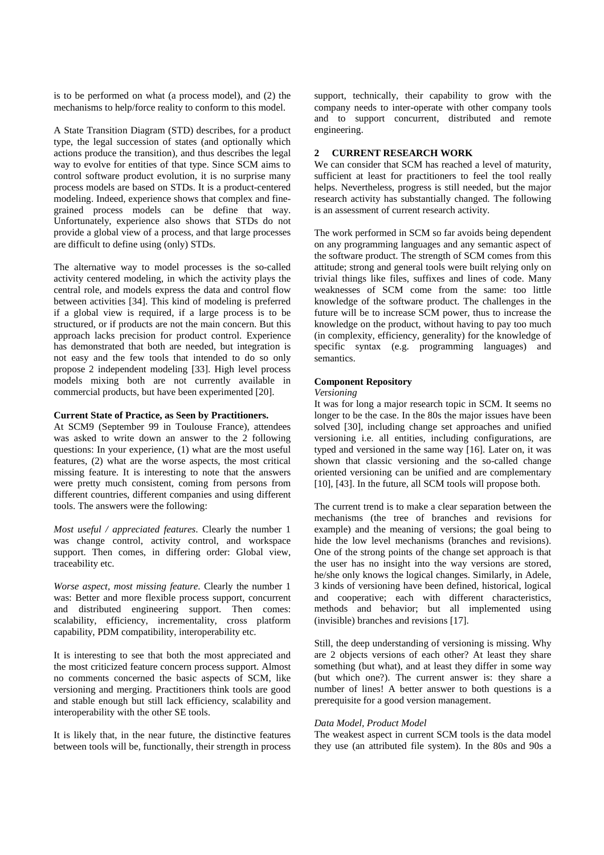is to be performed on what (a process model), and (2) the mechanisms to help/force reality to conform to this model.

A State Transition Diagram (STD) describes, for a product type, the legal succession of states (and optionally which actions produce the transition), and thus describes the legal way to evolve for entities of that type. Since SCM aims to control software product evolution, it is no surprise many process models are based on STDs. It is a product-centered modeling. Indeed, experience shows that complex and finegrained process models can be define that way. Unfortunately, experience also shows that STDs do not provide a global view of a process, and that large processes are difficult to define using (only) STDs.

The alternative way to model processes is the so-called activity centered modeling, in which the activity plays the central role, and models express the data and control flow between activities [34]. This kind of modeling is preferred if a global view is required, if a large process is to be structured, or if products are not the main concern. But this approach lacks precision for product control. Experience has demonstrated that both are needed, but integration is not easy and the few tools that intended to do so only propose 2 independent modeling [33]. High level process models mixing both are not currently available in commercial products, but have been experimented [20].

## **Current State of Practice, as Seen by Practitioners.**

At SCM9 (September 99 in Toulouse France), attendees was asked to write down an answer to the 2 following questions: In your experience, (1) what are the most useful features, (2) what are the worse aspects, the most critical missing feature. It is interesting to note that the answers were pretty much consistent, coming from persons from different countries, different companies and using different tools. The answers were the following:

*Most useful / appreciated features*. Clearly the number 1 was change control, activity control, and workspace support. Then comes, in differing order: Global view, traceability etc.

*Worse aspect, most missing feature*. Clearly the number 1 was: Better and more flexible process support, concurrent and distributed engineering support. Then comes: scalability, efficiency, incrementality, cross platform capability, PDM compatibility, interoperability etc.

It is interesting to see that both the most appreciated and the most criticized feature concern process support. Almost no comments concerned the basic aspects of SCM, like versioning and merging. Practitioners think tools are good and stable enough but still lack efficiency, scalability and interoperability with the other SE tools.

It is likely that, in the near future, the distinctive features between tools will be, functionally, their strength in process support, technically, their capability to grow with the company needs to inter-operate with other company tools and to support concurrent, distributed and remote engineering.

# **2 CURRENT RESEARCH WORK**

We can consider that SCM has reached a level of maturity, sufficient at least for practitioners to feel the tool really helps. Nevertheless, progress is still needed, but the major research activity has substantially changed. The following is an assessment of current research activity.

The work performed in SCM so far avoids being dependent on any programming languages and any semantic aspect of the software product. The strength of SCM comes from this attitude; strong and general tools were built relying only on trivial things like files, suffixes and lines of code. Many weaknesses of SCM come from the same: too little knowledge of the software product. The challenges in the future will be to increase SCM power, thus to increase the knowledge on the product, without having to pay too much (in complexity, efficiency, generality) for the knowledge of specific syntax (e.g. programming languages) and semantics.

## **Component Repository**

#### *Ve*r*sioning*

It was for long a major research topic in SCM. It seems no longer to be the case. In the 80s the major issues have been solved [30], including change set approaches and unified versioning i.e. all entities, including configurations, are typed and versioned in the same way [16]. Later on, it was shown that classic versioning and the so-called change oriented versioning can be unified and are complementary [10], [43]. In the future, all SCM tools will propose both.

The current trend is to make a clear separation between the mechanisms (the tree of branches and revisions for example) and the meaning of versions; the goal being to hide the low level mechanisms (branches and revisions). One of the strong points of the change set approach is that the user has no insight into the way versions are stored, he/she only knows the logical changes. Similarly, in Adele, 3 kinds of versioning have been defined, historical, logical and cooperative; each with different characteristics, methods and behavior; but all implemented using (invisible) branches and revisions [17].

Still, the deep understanding of versioning is missing. Why are 2 objects versions of each other? At least they share something (but what), and at least they differ in some way (but which one?). The current answer is: they share a number of lines! A better answer to both questions is a prerequisite for a good version management.

# *Data Model, Product Model*

The weakest aspect in current SCM tools is the data model they use (an attributed file system). In the 80s and 90s a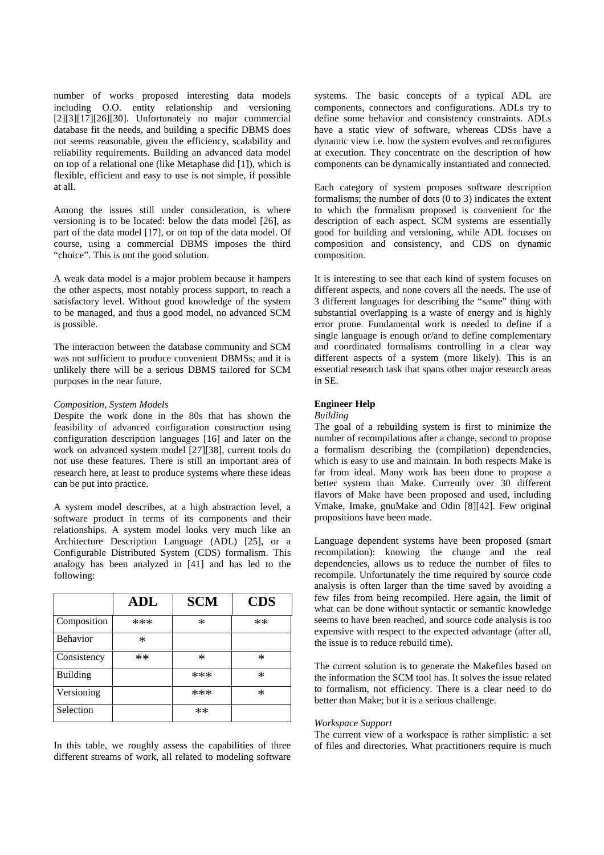number of works proposed interesting data models including O.O. entity relationship and versioning  $[2][3][17][26][30]$ . Unfortunately no major commercial database fit the needs, and building a specific DBMS does not seems reasonable, given the efficiency, scalability and reliability requirements. Building an advanced data model on top of a relational one (like Metaphase did [1]), which is flexible, efficient and easy to use is not simple, if possible at all.

Among the issues still under consideration, is where versioning is to be located: below the data model [26], as part of the data model [17], or on top of the data model. Of course, using a commercial DBMS imposes the third "choice". This is not the good solution.

A weak data model is a major problem because it hampers the other aspects, most notably process support, to reach a satisfactory level. Without good knowledge of the system to be managed, and thus a good model, no advanced SCM is possible.

The interaction between the database community and SCM was not sufficient to produce convenient DBMSs; and it is unlikely there will be a serious DBMS tailored for SCM purposes in the near future.

#### *Composition, System Models*

Despite the work done in the 80s that has shown the feasibility of advanced configuration construction using configuration description languages [16] and later on the work on advanced system model [27][38], current tools do not use these features. There is still an important area of research here, at least to produce systems where these ideas can be put into practice.

A system model describes, at a high abstraction level, a software product in terms of its components and their relationships. A system model looks very much like an Architecture Description Language (ADL) [25], or a Configurable Distributed System (CDS) formalism. This analogy has been analyzed in [41] and has led to the following:

|                 | <b>ADL</b> | <b>SCM</b> | <b>CDS</b> |
|-----------------|------------|------------|------------|
| Composition     | $***$      | $\ast$     | $**$       |
| <b>Behavior</b> | $\ast$     |            |            |
| Consistency     | $**$       | ∗          | $\ast$     |
| <b>Building</b> |            | ***        | ∗          |
| Versioning      |            | $***$      | $\ast$     |
| Selection       |            | $**$       |            |

In this table, we roughly assess the capabilities of three different streams of work, all related to modeling software systems. The basic concepts of a typical ADL are components, connectors and configurations. ADLs try to define some behavior and consistency constraints. ADLs have a static view of software, whereas CDSs have a dynamic view i.e. how the system evolves and reconfigures at execution. They concentrate on the description of how components can be dynamically instantiated and connected.

Each category of system proposes software description formalisms; the number of dots (0 to 3) indicates the extent to which the formalism proposed is convenient for the description of each aspect. SCM systems are essentially good for building and versioning, while ADL focuses on composition and consistency, and CDS on dynamic composition.

It is interesting to see that each kind of system focuses on different aspects, and none covers all the needs. The use of 3 different languages for describing the "same" thing with substantial overlapping is a waste of energy and is highly error prone. Fundamental work is needed to define if a single language is enough or/and to define complementary and coordinated formalisms controlling in a clear way different aspects of a system (more likely). This is an essential research task that spans other major research areas in SE.

# **Engineer Help**

# *Building*

The goal of a rebuilding system is first to minimize the number of recompilations after a change, second to propose a formalism describing the (compilation) dependencies, which is easy to use and maintain. In both respects Make is far from ideal. Many work has been done to propose a better system than Make. Currently over 30 different flavors of Make have been proposed and used, including Vmake, Imake, gnuMake and Odin [8][42]. Few original propositions have been made.

Language dependent systems have been proposed (smart recompilation): knowing the change and the real dependencies, allows us to reduce the number of files to recompile. Unfortunately the time required by source code analysis is often larger than the time saved by avoiding a few files from being recompiled. Here again, the limit of what can be done without syntactic or semantic knowledge seems to have been reached, and source code analysis is too expensive with respect to the expected advantage (after all, the issue is to reduce rebuild time).

The current solution is to generate the Makefiles based on the information the SCM tool has. It solves the issue related to formalism, not efficiency. There is a clear need to do better than Make; but it is a serious challenge.

#### *Workspace Support*

The current view of a workspace is rather simplistic: a set of files and directories. What practitioners require is much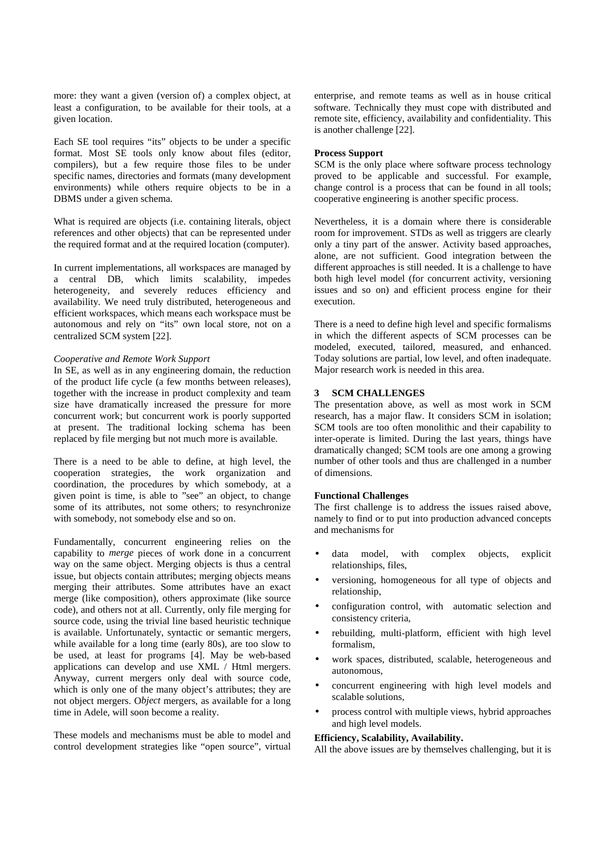more: they want a given (version of) a complex object, at least a configuration, to be available for their tools, at a given location.

Each SE tool requires "its" objects to be under a specific format. Most SE tools only know about files (editor, compilers), but a few require those files to be under specific names, directories and formats (many development environments) while others require objects to be in a DBMS under a given schema.

What is required are objects (i.e. containing literals, object references and other objects) that can be represented under the required format and at the required location (computer).

In current implementations, all workspaces are managed by a central DB, which limits scalability, impedes heterogeneity, and severely reduces efficiency and availability. We need truly distributed, heterogeneous and efficient workspaces, which means each workspace must be autonomous and rely on "its" own local store, not on a centralized SCM system [22].

# *Cooperative and Remote Work Support*

In SE, as well as in any engineering domain, the reduction of the product life cycle (a few months between releases), together with the increase in product complexity and team size have dramatically increased the pressure for more concurrent work; but concurrent work is poorly supported at present. The traditional locking schema has been replaced by file merging but not much more is available.

There is a need to be able to define, at high level, the cooperation strategies, the work organization and coordination, the procedures by which somebody, at a given point is time, is able to "see" an object, to change some of its attributes, not some others; to resynchronize with somebody, not somebody else and so on.

Fundamentally, concurrent engineering relies on the capability to *merge* pieces of work done in a concurrent way on the same object. Merging objects is thus a central issue, but objects contain attributes; merging objects means merging their attributes. Some attributes have an exact merge (like composition), others approximate (like source code), and others not at all. Currently, only file merging for source code, using the trivial line based heuristic technique is available. Unfortunately, syntactic or semantic mergers, while available for a long time (early 80s), are too slow to be used, at least for programs [4]. May be web-based applications can develop and use XML / Html mergers. Anyway, current mergers only deal with source code, which is only one of the many object's attributes; they are not object mergers. O*bject* mergers, as available for a long time in Adele, will soon become a reality.

These models and mechanisms must be able to model and control development strategies like "open source", virtual

enterprise, and remote teams as well as in house critical software. Technically they must cope with distributed and remote site, efficiency, availability and confidentiality. This is another challenge [22].

# **Process Support**

SCM is the only place where software process technology proved to be applicable and successful. For example, change control is a process that can be found in all tools; cooperative engineering is another specific process.

Nevertheless, it is a domain where there is considerable room for improvement. STDs as well as triggers are clearly only a tiny part of the answer. Activity based approaches, alone, are not sufficient. Good integration between the different approaches is still needed. It is a challenge to have both high level model (for concurrent activity, versioning issues and so on) and efficient process engine for their execution.

There is a need to define high level and specific formalisms in which the different aspects of SCM processes can be modeled, executed, tailored, measured, and enhanced. Today solutions are partial, low level, and often inadequate. Major research work is needed in this area.

# **3 SCM CHALLENGES**

The presentation above, as well as most work in SCM research, has a major flaw. It considers SCM in isolation; SCM tools are too often monolithic and their capability to inter-operate is limited. During the last years, things have dramatically changed; SCM tools are one among a growing number of other tools and thus are challenged in a number of dimensions.

# **Functional Challenges**

The first challenge is to address the issues raised above, namely to find or to put into production advanced concepts and mechanisms for

- data model, with complex objects, explicit relationships, files,
- versioning, homogeneous for all type of objects and relationship,
- configuration control, with automatic selection and consistency criteria,
- rebuilding, multi-platform, efficient with high level formalism,
- work spaces, distributed, scalable, heterogeneous and autonomous,
- concurrent engineering with high level models and scalable solutions,
- process control with multiple views, hybrid approaches and high level models.

# **Efficiency, Scalability, Availability.**

All the above issues are by themselves challenging, but it is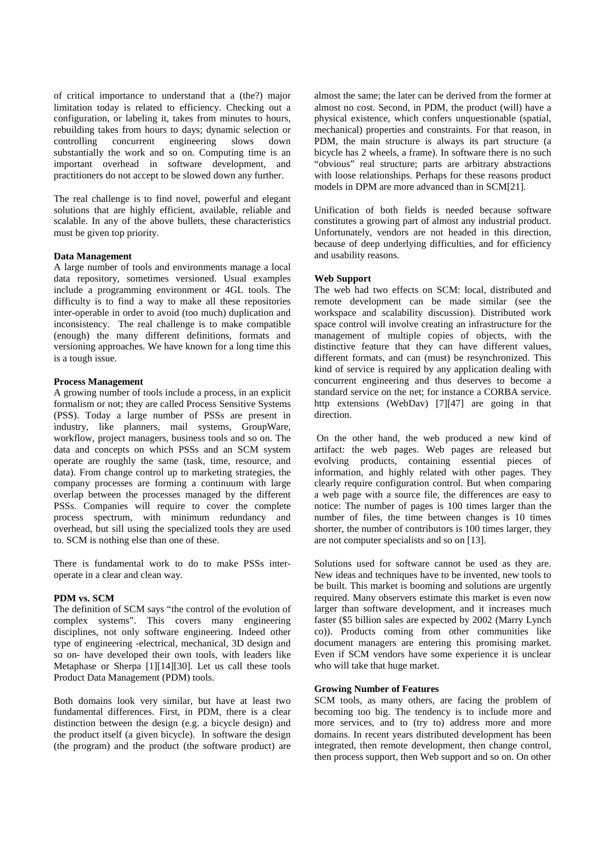of critical importance to understand that a (the?) major limitation today is related to efficiency. Checking out a configuration, or labeling it, takes from minutes to hours, rebuilding takes from hours to days; dynamic selection or controlling concurrent engineering slows down substantially the work and so on. Computing time is an important overhead in software development, and practitioners do not accept to be slowed down any further.

The real challenge is to find novel, powerful and elegant solutions that are highly efficient, available, reliable and scalable. In any of the above bullets, these characteristics must be given top priority.

# **Data Management**

A large number of tools and environments manage a local data repository, sometimes versioned. Usual examples include a programming environment or 4GL tools. The difficulty is to find a way to make all these repositories inter-operable in order to avoid (too much) duplication and inconsistency. The real challenge is to make compatible (enough) the many different definitions, formats and versioning approaches. We have known for a long time this is a tough issue.

#### **Process Management**

A growing number of tools include a process, in an explicit formalism or not; they are called Process Sensitive Systems (PSS). Today a large number of PSSs are present in industry, like planners, mail systems, GroupWare, workflow, project managers, business tools and so on. The data and concepts on which PSSs and an SCM system operate are roughly the same (task, time, resource, and data). From change control up to marketing strategies, the company processes are forming a continuum with large overlap between the processes managed by the different PSSs. Companies will require to cover the complete process spectrum, with minimum redundancy and overhead, but sill using the specialized tools they are used to. SCM is nothing else than one of these.

There is fundamental work to do to make PSSs interoperate in a clear and clean way.

# **PDM vs. SCM**

The definition of SCM says "the control of the evolution of complex systems". This covers many engineering disciplines, not only software engineering. Indeed other type of engineering -electrical, mechanical, 3D design and so on- have developed their own tools, with leaders like Metaphase or Sherpa [1][14][30]. Let us call these tools Product Data Management (PDM) tools.

Both domains look very similar, but have at least two fundamental differences. First, in PDM, there is a clear distinction between the design (e.g. a bicycle design) and the product itself (a given bicycle). In software the design (the program) and the product (the software product) are

almost the same; the later can be derived from the former at almost no cost. Second, in PDM, the product (will) have a physical existence, which confers unquestionable (spatial, mechanical) properties and constraints. For that reason, in PDM, the main structure is always its part structure (a bicycle has 2 wheels, a frame). In software there is no such "obvious" real structure; parts are arbitrary abstractions with loose relationships. Perhaps for these reasons product models in DPM are more advanced than in SCM[21].

Unification of both fields is needed because software constitutes a growing part of almost any industrial product. Unfortunately, vendors are not headed in this direction, because of deep underlying difficulties, and for efficiency and usability reasons.

#### **Web Support**

The web had two effects on SCM: local, distributed and remote development can be made similar (see the workspace and scalability discussion). Distributed work space control will involve creating an infrastructure for the management of multiple copies of objects, with the distinctive feature that they can have different values, different formats, and can (must) be resynchronized. This kind of service is required by any application dealing with concurrent engineering and thus deserves to become a standard service on the net; for instance a CORBA service. http extensions (WebDav) [7][47] are going in that direction.

 On the other hand, the web produced a new kind of artifact: the web pages. Web pages are released but evolving products, containing essential pieces of information, and highly related with other pages. They clearly require configuration control. But when comparing a web page with a source file, the differences are easy to notice: The number of pages is 100 times larger than the number of files, the time between changes is 10 times shorter, the number of contributors is 100 times larger, they are not computer specialists and so on [13].

Solutions used for software cannot be used as they are. New ideas and techniques have to be invented, new tools to be built. This market is booming and solutions are urgently required. Many observers estimate this market is even now larger than software development, and it increases much faster (\$5 billion sales are expected by 2002 (Marry Lynch co)). Products coming from other communities like document managers are entering this promising market. Even if SCM vendors have some experience it is unclear who will take that huge market.

# **Growing Number of Features**

SCM tools, as many others, are facing the problem of becoming too big. The tendency is to include more and more services, and to (try to) address more and more domains. In recent years distributed development has been integrated, then remote development, then change control, then process support, then Web support and so on. On other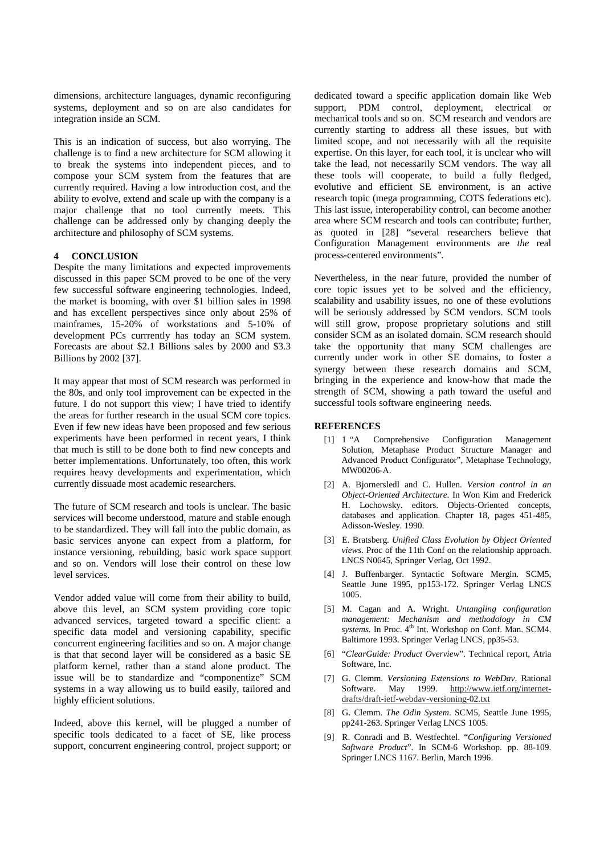dimensions, architecture languages, dynamic reconfiguring systems, deployment and so on are also candidates for integration inside an SCM.

This is an indication of success, but also worrying. The challenge is to find a new architecture for SCM allowing it to break the systems into independent pieces, and to compose your SCM system from the features that are currently required. Having a low introduction cost, and the ability to evolve, extend and scale up with the company is a major challenge that no tool currently meets. This challenge can be addressed only by changing deeply the architecture and philosophy of SCM systems.

# **4 CONCLUSION**

Despite the many limitations and expected improvements discussed in this paper SCM proved to be one of the very few successful software engineering technologies. Indeed, the market is booming, with over \$1 billion sales in 1998 and has excellent perspectives since only about 25% of mainframes, 15-20% of workstations and 5-10% of development PCs currrently has today an SCM system. Forecasts are about \$2.1 Billions sales by 2000 and \$3.3 Billions by 2002 [37].

It may appear that most of SCM research was performed in the 80s, and only tool improvement can be expected in the future. I do not support this view; I have tried to identify the areas for further research in the usual SCM core topics. Even if few new ideas have been proposed and few serious experiments have been performed in recent years, I think that much is still to be done both to find new concepts and better implementations. Unfortunately, too often, this work requires heavy developments and experimentation, which currently dissuade most academic researchers.

The future of SCM research and tools is unclear. The basic services will become understood, mature and stable enough to be standardized. They will fall into the public domain, as basic services anyone can expect from a platform, for instance versioning, rebuilding, basic work space support and so on. Vendors will lose their control on these low level services.

Vendor added value will come from their ability to build, above this level, an SCM system providing core topic advanced services, targeted toward a specific client: a specific data model and versioning capability, specific concurrent engineering facilities and so on. A major change is that that second layer will be considered as a basic SE platform kernel, rather than a stand alone product. The issue will be to standardize and "componentize" SCM systems in a way allowing us to build easily, tailored and highly efficient solutions.

Indeed, above this kernel, will be plugged a number of specific tools dedicated to a facet of SE, like process support, concurrent engineering control, project support; or

dedicated toward a specific application domain like Web support, PDM control, deployment, electrical or mechanical tools and so on. SCM research and vendors are currently starting to address all these issues, but with limited scope, and not necessarily with all the requisite expertise. On this layer, for each tool, it is unclear who will take the lead, not necessarily SCM vendors. The way all these tools will cooperate, to build a fully fledged, evolutive and efficient SE environment, is an active research topic (mega programming, COTS federations etc). This last issue, interoperability control, can become another area where SCM research and tools can contribute; further, as quoted in [28] "several researchers believe that Configuration Management environments are *the* real process-centered environments".

Nevertheless, in the near future, provided the number of core topic issues yet to be solved and the efficiency, scalability and usability issues, no one of these evolutions will be seriously addressed by SCM vendors. SCM tools will still grow, propose proprietary solutions and still consider SCM as an isolated domain. SCM research should take the opportunity that many SCM challenges are currently under work in other SE domains, to foster a synergy between these research domains and SCM, bringing in the experience and know-how that made the strength of SCM, showing a path toward the useful and successful tools software engineering needs.

# **REFERENCES**

- [1] 1 "A Comprehensive Configuration Management Solution, Metaphase Product Structure Manager and Advanced Product Configurator", Metaphase Technology, MW00206-A.
- [2] A. Bjornersledl and C. Hullen. *Version control in an Object-Oriented Architecture*. In Won Kim and Frederick H. Lochowsky. editors. Objects-Oriented concepts, databases and application. Chapter 18, pages 451-485, Adisson-Wesley. 1990.
- [3] E. Bratsberg. *Unified Class Evolution by Object Oriented views*. Proc of the 11th Conf on the relationship approach. LNCS N0645, Springer Verlag, Oct 1992.
- [4] J. Buffenbarger. Syntactic Software Mergin. SCM5, Seattle June 1995, pp153-172. Springer Verlag LNCS 1005.
- [5] M. Cagan and A. Wright. *Untangling configuration management: Mechanism and methodology in CM*  systems. In Proc. 4<sup>th</sup> Int. Workshop on Conf. Man. SCM4. Baltimore 1993. Springer Verlag LNCS, pp35-53.
- [6] "*ClearGuide: Product Overview*". Technical report, Atria Software, Inc.
- [7] G. Clemm. *Versioning Extensions to WebDav*. Rational Software. May 1999. http://www.ietf.org/internetdrafts/draft-ietf-webdav-versioning-02.txt
- [8] G. Clemm. *The Odin System*. SCM5, Seattle June 1995, pp241-263. Springer Verlag LNCS 1005.
- [9] R. Conradi and B. Westfechtel. "*Configuring Versioned Software Product*". In SCM-6 Workshop. pp. 88-109. Springer LNCS 1167. Berlin, March 1996.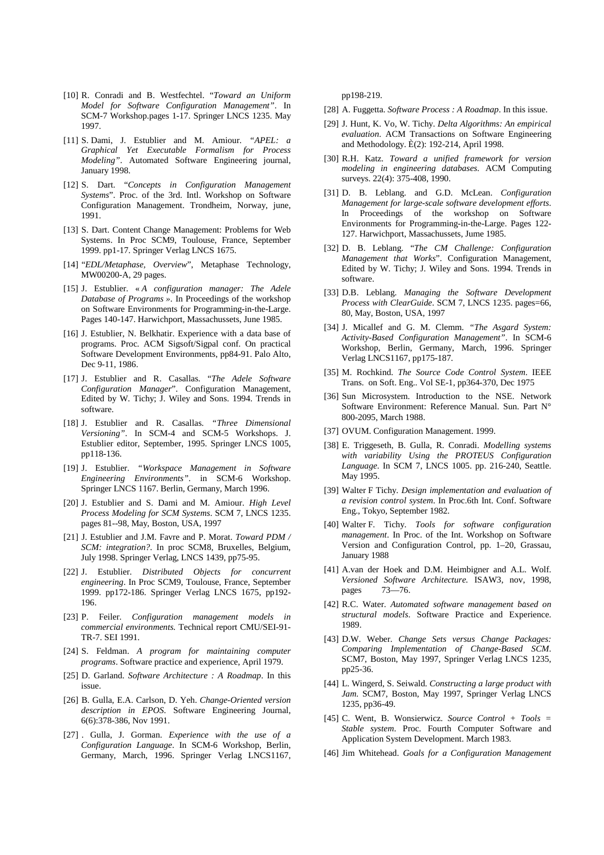- [10] R. Conradi and B. Westfechtel. "*Toward an Uniform Model for Software Configuration Management"*. In SCM-7 Workshop.pages 1-17. Springer LNCS 1235. May 1997.
- [11] S. Dami, J. Estublier and M. Amiour. *"APEL: a Graphical Yet Executable Formalism for Process Modeling"*. Automated Software Engineering journal, January 1998.
- [12] S. Dart. "*Concepts in Configuration Management Systems*". Proc. of the 3rd. Intl. Workshop on Software Configuration Management. Trondheim, Norway, june, 1991.
- [13] S. Dart. Content Change Management: Problems for Web Systems. In Proc SCM9, Toulouse, France, September 1999. pp1-17. Springer Verlag LNCS 1675.
- [14] "*EDL/Metaphase, Overview*", Metaphase Technology, MW00200-A, 29 pages.
- [15] J. Estublier. « *A configuration manager: The Adele Database of Programs »*. In Proceedings of the workshop on Software Environments for Programming-in-the-Large. Pages 140-147. Harwichport, Massachussets, June 1985.
- [16] J. Estublier, N. Belkhatir. Experience with a data base of programs. Proc. ACM Sigsoft/Sigpal conf. On practical Software Development Environments, pp84-91. Palo Alto, Dec 9-11, 1986.
- [17] J. Estublier and R. Casallas. "*The Adele Software Configuration Manager*". Configuration Management, Edited by W. Tichy; J. Wiley and Sons. 1994. Trends in software.
- [18] J. Estublier and R. Casallas. *"Three Dimensional Versioning"*. In SCM-4 and SCM-5 Workshops. J. Estublier editor, September, 1995. Springer LNCS 1005, pp118-136.
- [19] J. Estublier. *"Workspace Management in Software Engineering Environments"*. in SCM-6 Workshop. Springer LNCS 1167. Berlin, Germany, March 1996.
- [20] J. Estublier and S. Dami and M. Amiour. *High Level Process Modeling for SCM Systems*. SCM 7, LNCS 1235. pages 81--98, May, Boston, USA, 1997
- [21] J. Estublier and J.M. Favre and P. Morat. *Toward PDM / SCM: integration?*. In proc SCM8, Bruxelles, Belgium, July 1998. Springer Verlag, LNCS 1439, pp75-95.
- [22] J. Estublier. *Distributed Objects for concurrent engineering*. In Proc SCM9, Toulouse, France, September 1999. pp172-186. Springer Verlag LNCS 1675, pp192- 196.
- [23] P. Feiler. *Configuration management models in commercial environments.* Technical report CMU/SEI-91- TR-7. SEI 1991.
- [24] S. Feldman. *A program for maintaining computer programs*. Software practice and experience, April 1979.
- [25] D. Garland. *Software Architecture : A Roadmap*. In this issue.
- [26] B. Gulla, E.A. Carlson, D. Yeh. *Change-Oriented version description in EPOS*. Software Engineering Journal, 6(6):378-386, Nov 1991.
- [27] . Gulla, J. Gorman. *Experience with the use of a Configuration Language*. In SCM-6 Workshop, Berlin, Germany, March, 1996. Springer Verlag LNCS1167,

pp198-219.

- [28] A. Fuggetta. *Software Process : A Roadmap*. In this issue.
- [29] J. Hunt, K. Vo, W. Tichy. *Delta Algorithms: An empirical evaluation*. ACM Transactions on Software Engineering and Methodology. È(2): 192-214, April 1998.
- [30] R.H. Katz. *Toward a unified framework for version modeling in engineering databases.* ACM Computing surveys. 22(4): 375-408, 1990.
- [31] D. B. Leblang. and G.D. McLean. *Configuration Management for large-scale software development efforts*. In Proceedings of the workshop on Software Environments for Programming-in-the-Large. Pages 122- 127. Harwichport, Massachussets, Jume 1985.
- [32] D. B. Leblang. "*The CM Challenge: Configuration Management that Works*". Configuration Management, Edited by W. Tichy; J. Wiley and Sons. 1994. Trends in software.
- [33] D.B. Leblang. *Managing the Software Development Process with ClearGuide*. SCM 7, LNCS 1235. pages=66, 80, May, Boston, USA, 1997
- [34] J. Micallef and G. M. Clemm. *"The Asgard System: Activity-Based Configuration Management"*. In SCM-6 Workshop, Berlin, Germany, March, 1996. Springer Verlag LNCS1167, pp175-187.
- [35] M. Rochkind. *The Source Code Control System*. IEEE Trans. on Soft. Eng.. Vol SE-1, pp364-370, Dec 1975
- [36] Sun Microsystem. Introduction to the NSE. Network Software Environment: Reference Manual. Sun. Part N° 800-2095, March 1988.
- [37] OVUM. Configuration Management. 1999.
- [38] E. Triggeseth, B. Gulla, R. Conradi. *Modelling systems with variability Using the PROTEUS Configuration Language*. In SCM 7, LNCS 1005. pp. 216-240, Seattle. May 1995.
- [39] Walter F Tichy. *Design implementation and evaluation of a revision control system*. In Proc.6th Int. Conf. Software Eng., Tokyo, September 1982.
- [40] Walter F. Tichy. *Tools for software configuration management*. In Proc. of the Int. Workshop on Software Version and Configuration Control, pp. 1–20, Grassau, January 1988
- [41] A.van der Hoek and D.M. Heimbigner and A.L. Wolf. *Versioned Software Architecture.* ISAW3, nov, 1998, pages 73—76.
- [42] R.C. Water. *Automated software management based on structural models*. Software Practice and Experience. 1989.
- [43] D.W. Weber. *Change Sets versus Change Packages: Comparing Implementation of Change-Based SCM*. SCM7, Boston, May 1997, Springer Verlag LNCS 1235, pp25-36.
- [44] L. Wingerd, S. Seiwald. *Constructing a large product with Jam*. SCM7, Boston, May 1997, Springer Verlag LNCS 1235, pp36-49.
- [45] C. Went, B. Wonsierwicz. *Source Control + Tools = Stable system*. Proc. Fourth Computer Software and Application System Development. March 1983.
- [46] Jim Whitehead. *Goals for a Configuration Management*